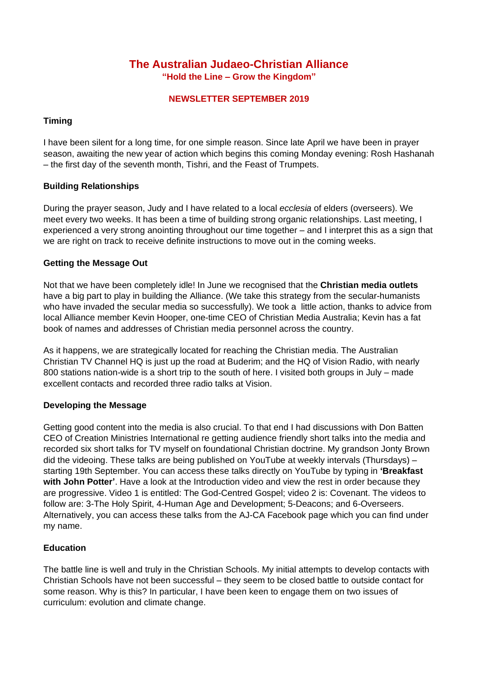# **The Australian Judaeo-Christian Alliance "Hold the Line – Grow the Kingdom"**

#### **NEWSLETTER SEPTEMBER 2019**

## **Timing**

I have been silent for a long time, for one simple reason. Since late April we have been in prayer season, awaiting the new year of action which begins this coming Monday evening: Rosh Hashanah – the first day of the seventh month, Tishri, and the Feast of Trumpets.

### **Building Relationships**

During the prayer season, Judy and I have related to a local *ecclesia* of elders (overseers). We meet every two weeks. It has been a time of building strong organic relationships. Last meeting, I experienced a very strong anointing throughout our time together – and I interpret this as a sign that we are right on track to receive definite instructions to move out in the coming weeks.

### **Getting the Message Out**

Not that we have been completely idle! In June we recognised that the **Christian media outlets** have a big part to play in building the Alliance. (We take this strategy from the secular-humanists who have invaded the secular media so successfully). We took a little action, thanks to advice from local Alliance member Kevin Hooper, one-time CEO of Christian Media Australia; Kevin has a fat book of names and addresses of Christian media personnel across the country.

As it happens, we are strategically located for reaching the Christian media. The Australian Christian TV Channel HQ is just up the road at Buderim; and the HQ of Vision Radio, with nearly 800 stations nation-wide is a short trip to the south of here. I visited both groups in July – made excellent contacts and recorded three radio talks at Vision.

#### **Developing the Message**

Getting good content into the media is also crucial. To that end I had discussions with Don Batten CEO of Creation Ministries International re getting audience friendly short talks into the media and recorded six short talks for TV myself on foundational Christian doctrine. My grandson Jonty Brown did the videoing. These talks are being published on YouTube at weekly intervals (Thursdays) – starting 19th September. You can access these talks directly on YouTube by typing in **'Breakfast with John Potter'**. Have a look at the Introduction video and view the rest in order because they are progressive. Video 1 is entitled: The God-Centred Gospel; video 2 is: Covenant. The videos to follow are: 3-The Holy Spirit, 4-Human Age and Development; 5-Deacons; and 6-Overseers. Alternatively, you can access these talks from the AJ-CA Facebook page which you can find under my name.

# **Education**

The battle line is well and truly in the Christian Schools. My initial attempts to develop contacts with Christian Schools have not been successful – they seem to be closed battle to outside contact for some reason. Why is this? In particular, I have been keen to engage them on two issues of curriculum: evolution and climate change.